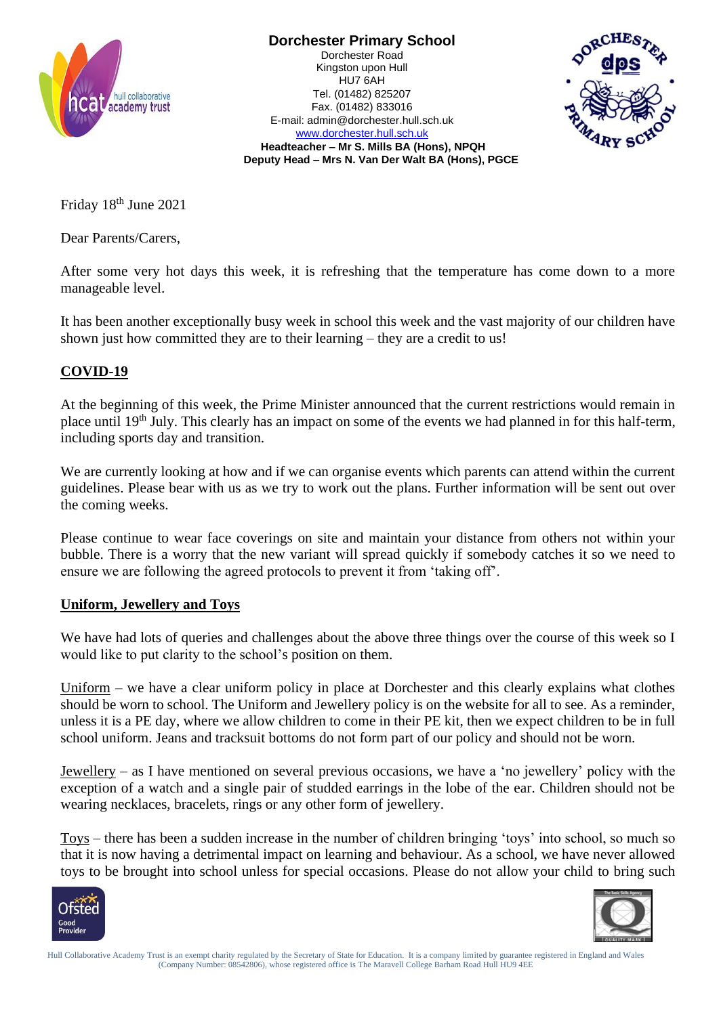

**Dorchester Primary School** Dorchester Road Kingston upon Hull HU7 6AH Tel. (01482) 825207 Fax. (01482) 833016 E-mail: admin@dorchester.hull.sch.uk [www.dorchester.hull.sch.uk](http://www.dorchester.hull.sch.uk/)



**Headteacher – Mr S. Mills BA (Hons), NPQH Deputy Head – Mrs N. Van Der Walt BA (Hons), PGCE**

Friday 18<sup>th</sup> June 2021

Dear Parents/Carers,

After some very hot days this week, it is refreshing that the temperature has come down to a more manageable level.

It has been another exceptionally busy week in school this week and the vast majority of our children have shown just how committed they are to their learning – they are a credit to us!

## **COVID-19**

At the beginning of this week, the Prime Minister announced that the current restrictions would remain in place until 19<sup>th</sup> July. This clearly has an impact on some of the events we had planned in for this half-term, including sports day and transition.

We are currently looking at how and if we can organise events which parents can attend within the current guidelines. Please bear with us as we try to work out the plans. Further information will be sent out over the coming weeks.

Please continue to wear face coverings on site and maintain your distance from others not within your bubble. There is a worry that the new variant will spread quickly if somebody catches it so we need to ensure we are following the agreed protocols to prevent it from 'taking off'.

## **Uniform, Jewellery and Toys**

We have had lots of queries and challenges about the above three things over the course of this week so I would like to put clarity to the school's position on them.

Uniform – we have a clear uniform policy in place at Dorchester and this clearly explains what clothes should be worn to school. The Uniform and Jewellery policy is on the website for all to see. As a reminder, unless it is a PE day, where we allow children to come in their PE kit, then we expect children to be in full school uniform. Jeans and tracksuit bottoms do not form part of our policy and should not be worn.

Jewellery – as I have mentioned on several previous occasions, we have a 'no jewellery' policy with the exception of a watch and a single pair of studded earrings in the lobe of the ear. Children should not be wearing necklaces, bracelets, rings or any other form of jewellery.

Toys – there has been a sudden increase in the number of children bringing 'toys' into school, so much so that it is now having a detrimental impact on learning and behaviour. As a school, we have never allowed toys to be brought into school unless for special occasions. Please do not allow your child to bring such